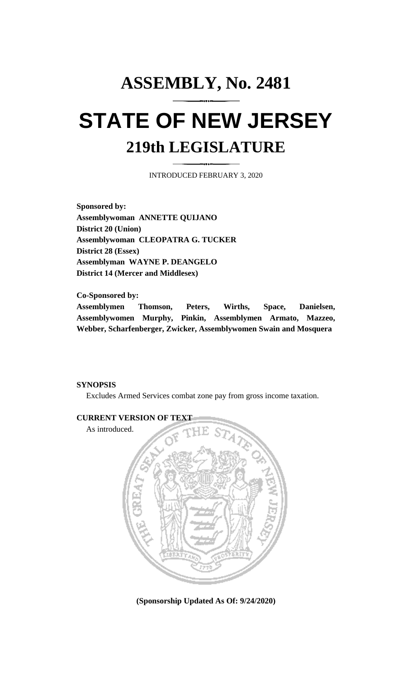## **ASSEMBLY, No. 2481 STATE OF NEW JERSEY 219th LEGISLATURE**

INTRODUCED FEBRUARY 3, 2020

**Sponsored by: Assemblywoman ANNETTE QUIJANO District 20 (Union) Assemblywoman CLEOPATRA G. TUCKER District 28 (Essex) Assemblyman WAYNE P. DEANGELO District 14 (Mercer and Middlesex)**

**Co-Sponsored by: Assemblymen Thomson, Peters, Wirths, Space, Danielsen, Assemblywomen Murphy, Pinkin, Assemblymen Armato, Mazzeo, Webber, Scharfenberger, Zwicker, Assemblywomen Swain and Mosquera**

## **SYNOPSIS**

Excludes Armed Services combat zone pay from gross income taxation.



**(Sponsorship Updated As Of: 9/24/2020)**